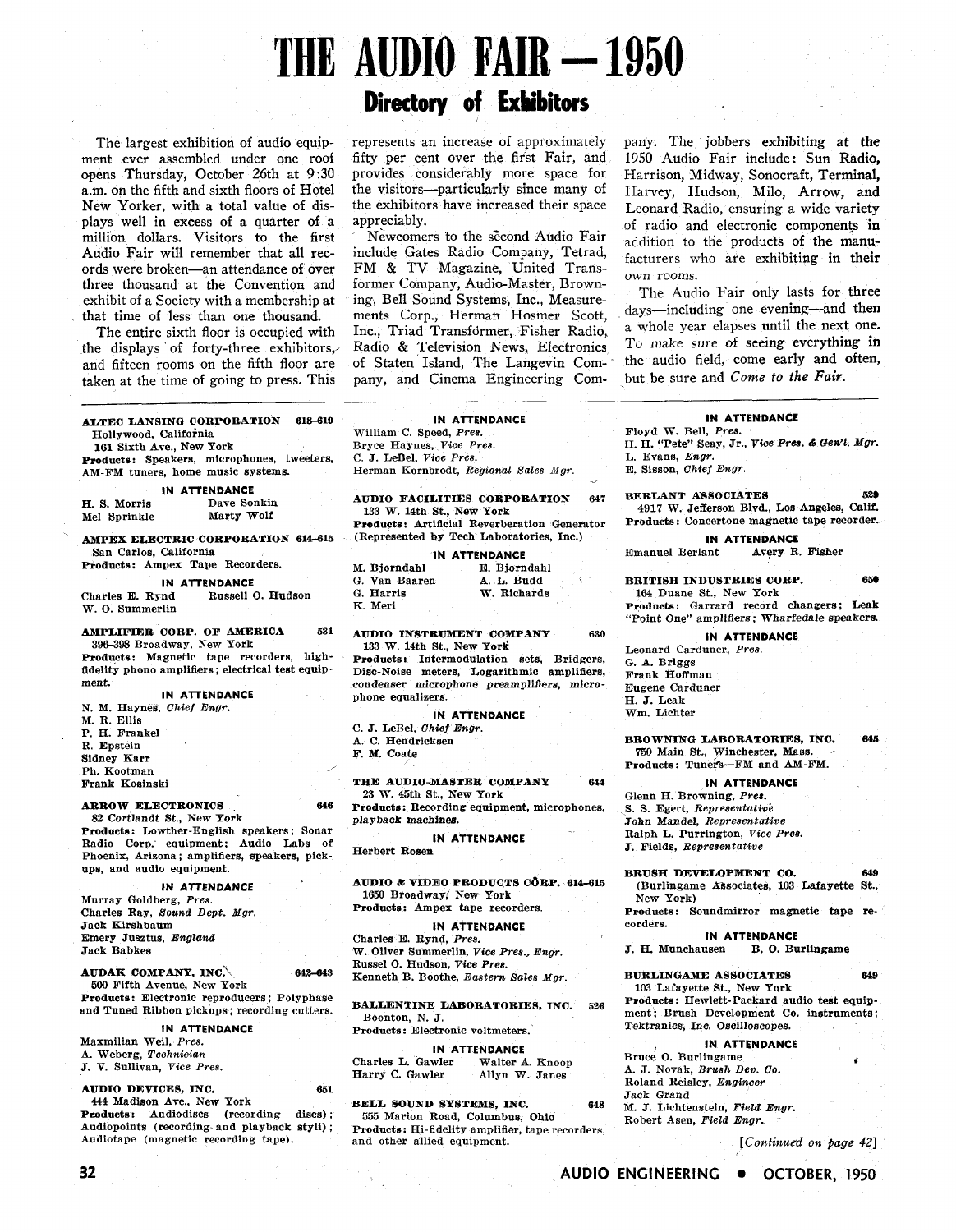# **THE AUDIO FAIR - 1950**

The largest exhibition of audio equipment ever assembled under one roof opens Thursday, October 26th at **9:30**  a.m. on the fifth and sixth floors of Hotel New Yorker, with a total value of displays well in excess of a quarter of a million dollars. Visitors to the first Audio Fair will remember that all records were broken-an attendance of over three thousand at the Convention and exhibit of a Society with a membership at that time of less than one thousand.

The entire sixth floor is occupied with the displays of forty-three exhibitors, and fifteen rooms on the fifth floor are taken at the time of going to press. This

| ALTEC LANSING CORPORATION<br>618-619<br>Hollywood, California |  |
|---------------------------------------------------------------|--|
| 161 Sixth Ave., New York                                      |  |
| Products: Speakers, microphones, tweeters,                    |  |
| AM-FM tuners, home music systems.                             |  |

#### **IN ATTENDANCE**

H. S. Morris Dave Sonkin<br>
Mel Sprinkle Marty Wolf Mel Sprinkle

**AMPEX ELECTRIC CORPORATION 614-615** San Carlos, California

Products: Ampex Tape Recorders.

**IN ATTENDANCE**<br>**Charles E. Rynd** Russell ( Russell O. Hudson W. 0. Summerlin

AMPLIFIER CORP. OF AMERICA **631**  396398 Broadway, New York

Products: Magnetic tape recorders, highfidelity phono amplifiers ; electrical test equipment.

**IN ATTENDANCE** 

N. **M.** Haynes, *Chief Engr.*  M. R. Ellia P. H. Frankel R. Epstein Sidney Karr Ph. Kootman

Frank Kosinski

#### ARROW ELECTRONICS **646**

82 Cortlandt St., New York Products : Lowther-English speakers ; Sonar Radio Corp. equipment; Audio Labs of Phoenix, Arizona ; amplifiers, speakers, pickups, and audio equipment.

#### **IN ATTENDANCE**

Murray Goldberg, *Pres.*  Charles Ray, *Bound Dept. Mgr.*  Jack Rirshbaum Emery Jusztus, *England* Jack Babkes

#### AUDAK COMPANY, INC. **42-643**

**500** Fifth Avenue, New York Products: Electronic reproducers ; Polyphase and Tuned Ribbon pickups ; recording cutters.

#### **IN ATTENDANCE**

Maxmilian Weil, *Pres.*  A. Weberg, *Technician* 

J. V. Sullivan, *Vice Pres.* 

#### AUDIO DEVICES, INC. **651**  444 Madison Ave., New York

Products: Audiodiscs (recording discs); Audiopoints (recording and playback styli); Audiotape (magnetic recording tape).

# **Directory of Exhibitors**

represents an increase of approximately fifty per cent over the first Fair, and provides considerably more space for the visitors-particularly since many of the exhibitors have increased their space appreciably.

Newcomers to the second Audio Fair include Gates Radio Company, Tetrad, FM & TV Magazine, United Transformer Company, Audio-Master, Browning, Bell Sound Systems, Inc., Measurements Corp., Herman Hosmer Scott, Inc., Triad Transfdrmer, Fisher Radio, Radio & Television News, Electronics of Staten Island, The Langevin Company, and Cinema Engineering Company. The jobbers exhibiting at the 1950 Audio Fair include: Sun Radio, Harrison, Midway, Sonocraft, Terminal, Harvey, Hudson, Milo, Arrow, and Leonard Radio, ensuring a wide variety of radio and electronic components in addition to the products of the manufacturers who are exhibiting in their own rooms.

The Audio Fair only lasts for three days-including one evening-and then a whole year elapses until the next one. To make sure of seeing everything in the audio field, come early and often, but be sure and **Come** to *the Fair.* 

#### **IN ATTENDANCE**

William C. Speed, *Pres.*  Bryce Haynes, *Vice Prea.*  C. J. LeBel, *Vice Pres.*  Herman Kornbrodt, *Regional sales Ngr.* 

AUDIO FACILITIES CORPORATION **647**  133 W. 14th St., New York Products: Artificial Reverberation Generator (Represented by Tech Laboratories, Inc.)

|               | <b>IN ATTENDANCE</b> |
|---------------|----------------------|
| M. Bjorndahl  | E. Bjorndahl         |
| G. Van Baaren | A. L. Budd           |
| G. Harris     | W. Richards          |
| K. Meri       |                      |

AUDIO INSTRUMENT COMPANY **630**  133 W. 14th St., New York

Products: Intermodulation sets, Bridgers, Disc-Noise meters, Logarithmic amplifiers, condenser microphone preamplifiers, microphone equalizers.

#### **IN ATTENDANCE**

C. J. LeBel, *Ohief Engr.* 

A. C. Hendricksen

F. M. Coate

#### THE AUDIO-MASTER COMPANY 644 23 W. 45th St., New York

Products: Recording equipment, microphones, playback machines.

#### **IN ATTENDANCE**

Herbert Rosen

AUDIO & VIDEO PRODUCTS CORP. 614-615 1650 Broadway; New York Products: Ampex tape recorders.

#### **IN ATTENDANCE**

Charles E. Rynd, *Pres.*  W. Oliver Summerlin, **Vice** *Pree., Engr.*  Russel 0. Hudson, *Vice Pree.*  Kenneth B. Boothe, *Eastern Sales Mgr.* 

BALLENTINE LABORATORIES, INC. 526 Boonton, N. J.

#### Products: Electronic voltmeters.

**IN ATTENDANCE**  Charles L. Gawler Walter A. Knoop<br>
Harry C. Gawler Allyn W. Janes Allyn W. Janes

BELL SOUND SYSTEMS, INC. **648**  555 Marion Road, Columbus, Ohio Produots: Hi-fidelity amplifier, tape recorders, and other allied equipment.

#### **IN ATTENDANCE** <sup>I</sup>

Floyd W. Bell, *Pres.*  H. H. "Pete" Seay, Jr., *Vice Pres. & Gewl. Mgr. L.* Evans, *Engr.* 

E. Sisson, *Chief Engr.* 

**BERLANT ASSOCIATES** 529 4917 W. Jefferson Blvd., Los Angeles, Calif. Products: Concertone magnetic tape recorder.

**IN ATTENDANCE**<br>ant **Avery R. Fisher** Emanuel Berlant

BRITISH INDUSTRIES CORP. **650**  164 Duane St., New Pork Products: Garrard record changers; Leak

"Point One" amplifiers ; Wharfedale speakers. **IN ATTENDANCE** 

Leonard Carduner, *Pres.*  G. **A.** Briggs Frank Hoffman Eugene Carduner H. J. Leak Wm. Lichter

BROWNING LABORATORIES, INC. **645**  750 Main St., Winchester, Mass. Products: Tuners-FM and AM-FM.

#### **IN ATTENDANCE**

Glenn H. Browning, *Pres.*  S. S. Egert, *Representative* John Mandel, *Representative*  Ralph L. Purrington, *Vice Pree.*  J. Fields, *Representattve* 

BRUSH DEVELOPMENT CO. **649**  (Burlingame kksociates, 103 Lafayette St., New York)

Products: Soundmirror magnetic tape recorders.

**IN ATTENDANCE**<br>**J. H. Munchausen** B. O. Bu B. O. Burlingame

BURLINGAME ASSOCIATES 649 103 Lafayette St., New York

Products: Hewlett-Packard audio test equipment; Brush Development Co. instruments; Tektranics, Inc. Oecilloscopes.

#### **IN ATTENDANCE**

Bruce O. Burlingame A. J. Novak, *Brush Dee.* Co. Roland Reisley, *Engineer*  Jack Grand *M. J. Lichtenstein, Field Engr.* Robert Asen, *Field Engr.* 

**[Continued 0%** *page 421*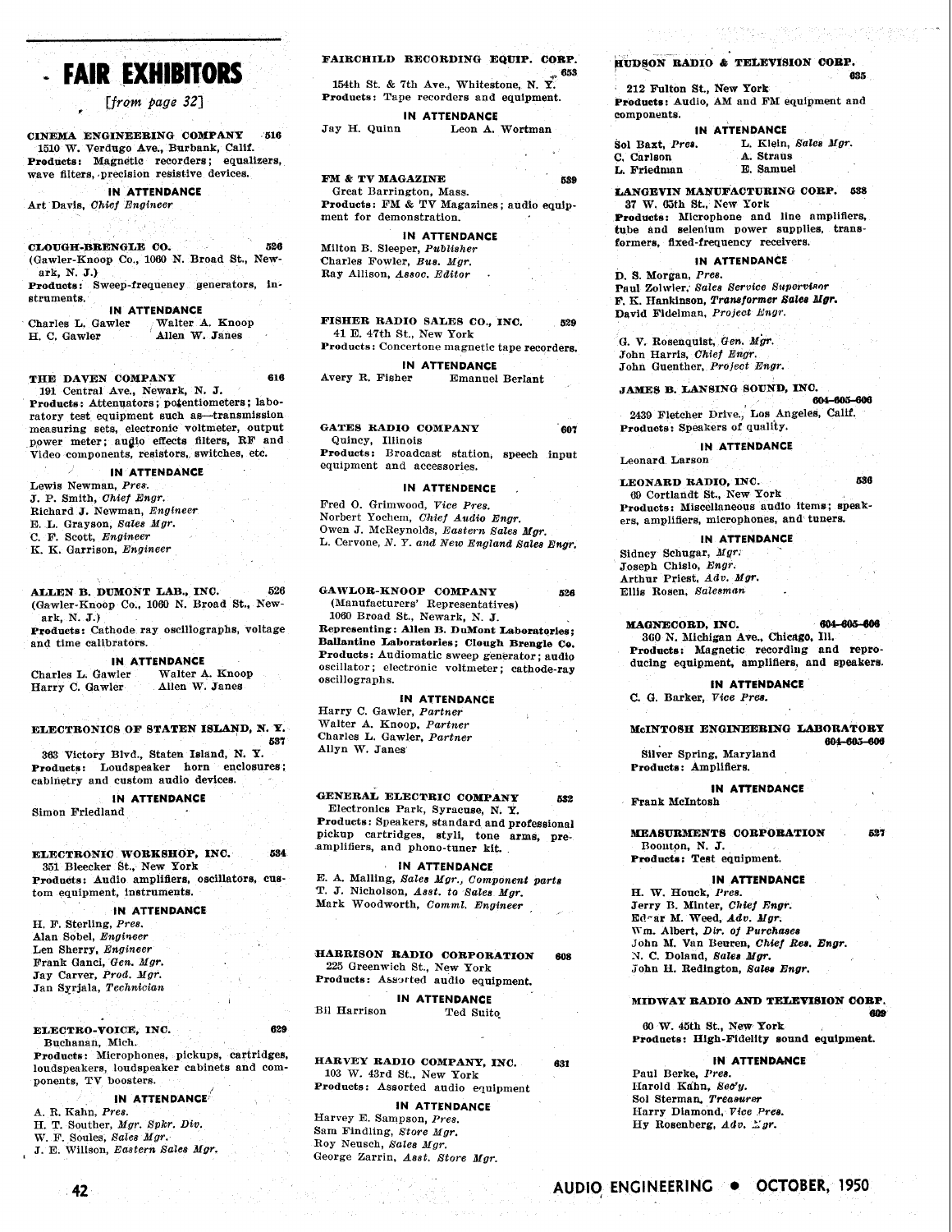# - **FAIR EXHIBITORS**

[from page 32]

CINEMA ENGINEERING COMPANY **516**  1510 W. Verdugo Ave., Burbank, Calif. Products: Magnetic recorders; equalizers, wave filters, precision resistive devices.

**IN ATTENDANCE**  Art Davis, *Chief Engineer* 

CLOUGH-BRENGLE CO. **526**  (Gawler-Knoop Co., 1060 N. Broad St., Newark, N. J.)

Products: Sweep-frequency generators, instruments.

**IN ATTENDANCE**<br>Charles L. Gawler Walter Charles L. Gawler Walter A. Knoop<br>H. C. Gawler Allen W. Janes Allen W. Janes

THE DAVEN COMPANY **616** 

191 Central Ave., Newark, N. J. Products: Attenuators; potentiometers; laboratory test equipment such as-transmission measuring sets, electronic voltmeter, output power meter; augio effects filters, RF and Video components, resistors, switches, etc.

#### **IN ATTENDANCE**

Lewis Newman, *Pres.*  J. P. Smith, *Chief Engr.*  Richard J. Newman, *Engineer*  E. L. Grayson, *Sales Mgr.*  C. F. Scott, *Engineer*  K. K. Garrison, *Engineer* 

ALLEN B. DUMONT LAB., INC. 526 (Gawler-Knoop Co., 1060 N. Broad St., Newark, N. J.)

Products: Cathode ray oscillographs, voltage and time calibrators.

**IN ATTENDANCE**<br>wler Walter A. Knoop Charles L. Gawler Walter A. Know<br>Harry C. Gawler Allen W. Janes Harry C. Gawler

#### ELECTRONICS OF BTATEN ISLAND, N. Y. **557**

**383** Victory Blvd., Staten Island, N. **Y.**  Products: Loudspeaker horn enclosures; cabinetry and custom audio devices.

**IN ATTENDANCE**  Simon Friedland

#### ELECTRONIC WORKBHOP, INC. **654**  351 Bhecker St., New York Products: Audio amplifiers, oscillators, enstom equipment, instruments.

#### **IN ATTENDANCE**

H. F. Sterling, *Pres.*  Alan Sobel, *Engineer* Len Sherry, *Engineer*  Frank Ganci, *Gem. Mgr.*  Jay Carver, *Prod. Mgr.*  Jan Sqrjala, *Techndcian* 

ELECTRO-VOICE, INC. **629**  Buchanan, Mich.

Products: Microphones, pickups, cartridges, loudspeakers, loudspeaker cabinets and components, TV boosters.

#### **IN ATTENDANCE** '

A. R. Kahn, *Pres.*  H. T. Souther, *Mgr. Spkr. Div. W.* F. Soules, *Sale8 Mgr.*  **J.** *E.* Willson, *Eastern Sales Mgr.* 

# FAIRCHILD RECORDING EQUIP. CORP.

**154th St. & 7th Ave., Whitestone, N. Y. 653** Products: Tape recorders and equipment.

**IN ATTENDANCE**<br>**Jay H. Quinn** Leon A. Leon A. Wortman

#### FM & TV MAGAZINE **689**

Great Barrington, Mass. Products: FM & TV Magazines; audio equipment for demonstration.

#### **IN ATTENDANCE**

Milton B. Sleeper, *Publisher*  Charles Fowler, *Bua. Mgr.*  Ray Allison, *A88oc. Editor* .

FISHER RADIO SALES CO., INC. **529**  41 E. 47th St., New York

Products: Concertone magnetic tape recorders.

**IN ATTENDANCE**  Avery R. Fisher

GATES RADIO COMPANY 607 Quincy, Illinois Products: Broadcast station, speech input

equipment and accessories.

#### **IN ATTENDENCE** ,

Fred 0. Grimwood, *Vice Pres.*  Norbert Yochem, *Chief Audio Engr.*  Owen J. McReynolds, *Eastern Sales Mgr.*  L. Cervone, *N. Y. and New England Sales Engr.* 

GAWLOR-KNOOP COMPANY **526**  (Manufacturers' Representatives) 1060 Broad St., Newark, N. J. Representing: Allen B. DuMont Laboratories; Ballantine Laboratories; Clough Brengle Ce. Products: Audiomatic sweep generator ; audig oscillator ; electronic voltmeter ; cathode-ray oscillographs.

#### **IN ATTENDANCE**

Harry C. Gawler, *Partner*  Walter A. Knoop, *Partner*  Charles L. Gawler, *Partner*  Allyn W. Janes

GENERAL ELECTRIC COMPANY **<sup>832</sup>** Electronics Park, Syracuse, N. Y. Products: Speakers, standard and professional pickup cartridges, styli, tone arms, preamplifiers, and phono-tuner kit.

#### **IN ATTENDANCE**

E. A. Malling, *Sales Mgr., Component part8 T.* J. Nicholson, *Asst. to Sales Mgr.*  Mark Woodworth, *Comml. Engineer* ,

HARRISON RADIO CORPORATION **608**  225 Greenwich St., New York Products: Assorted audio equipment.

**IN ATTENDANCE**  Bil Harrison

HARVEY RADIO COMPANY, INC. **681**  103 W. 43rd St., New York Products: Assorted audio equipment

**IN ATTENDANCE**  Harvey E. Sampson, *Pres.*  Sam Findling, *Store Mgr.*  Roy Neusch, *Sales Mgr.*  George Zarrin, *Asst. Store Mgr.* 

#### ~UDSON RADIO **Q;** TELEVISION 00RP.

212 Fulton St., New York Produets: Audio, AM and FM equipment and components.

## **IN ATTENDANCE**<br> **Sol Baxt, Pres.** L. Klein, Sol Baxt, *Prea.* L. Klein, *Sale8 Mgr.*

**6s5** 

| C. Carlson  |  | A. Straus |  |
|-------------|--|-----------|--|
| L. Friedman |  | E. Samuel |  |
|             |  |           |  |

LANGEVIN MANUFACTURING CORP. 588 37 W. 65th St., New York

Products: Nicrophone and line amplifiers, tube and selenium power supplies, transformers, fixed-frequency receivers.

#### **IN ATTENDANCE**

D. **9.** Morgan, *Pres.*  Paul Zolwier, Sales Service Supervisor  $F. K.$  Hankinson, *Transformer Sales Mgr.* David Fidelman, Project Engr.

G. V. Rosenquist, Gen. Mgr. John Harris, *Chief Engr.*  John Guenther, *Project Engr.* 

# JAMES B. LANSING SOUND, INO.

2439 Fletcher Drive., Los Angeles, Calif. Products: Speakers of quality.

**IN ATTENDANCE**  Leonard Larson

LEONARD RADIO, INC. **686 09** Cortlandt St, Xew York Products: Miscellaneous audio items; speakers, amplifiers, microphones, and tunera

**IN ATTENDANCE**  Sidney Schugar, *Mgr,*  Joseph Chislo, *Engr.*  Arthur Priest, *Adv. Mgr.*  Ellis Rosen. *Balesman* 

#### **MAGNECORD, INC.** 604-605-606

**360** 11'. Blichigan Ave., **Chicago,** Ill. Products: Magnetic recording and reproducing equipment, amplifiers, and speakers.

**IN ATTENDANCE C.** GI. Barker, *Vice Pres.* 

McINTOSH ENGINEERING LABORATORY<br>604-605-606

Silver Spring, Maryland Products: Amplifiers.

**IN ATTENDANCE**  Frank McIntosh

**MEASURMENTS CORPORATION** 627

Boouton, N. J. Products: Test equipment.

#### **IN ATTENDANCE**

H. W. Houck, Pres. Jerry B. Minter, *Chief Engr.* Ed-ar M. Weed, Ada. *Mgr.*  Wm. Albert, *Dir. of Purchases* John M. Van Beuren, Chief Res. Engr. **X.** C. Doland, *Bales Mgr.*  john *H.* Redington, *Salee Bngr.* 

MIDIVAY RADIO **AND** TELEVISION **COBP. 608** 

**00** W. 45th St., New **York**  Products: High-Fidelity sound equipment.

#### **tN ATTENDANCE**

Paul Berke, *Pres.*  IIarold Kdhn, *Seo'y.*  Sol Sterman. *Treaeursr*  Harry Dinmond. *Vice Pre8.*  Hy Rosenberg, *Adv. Zgr.* 

42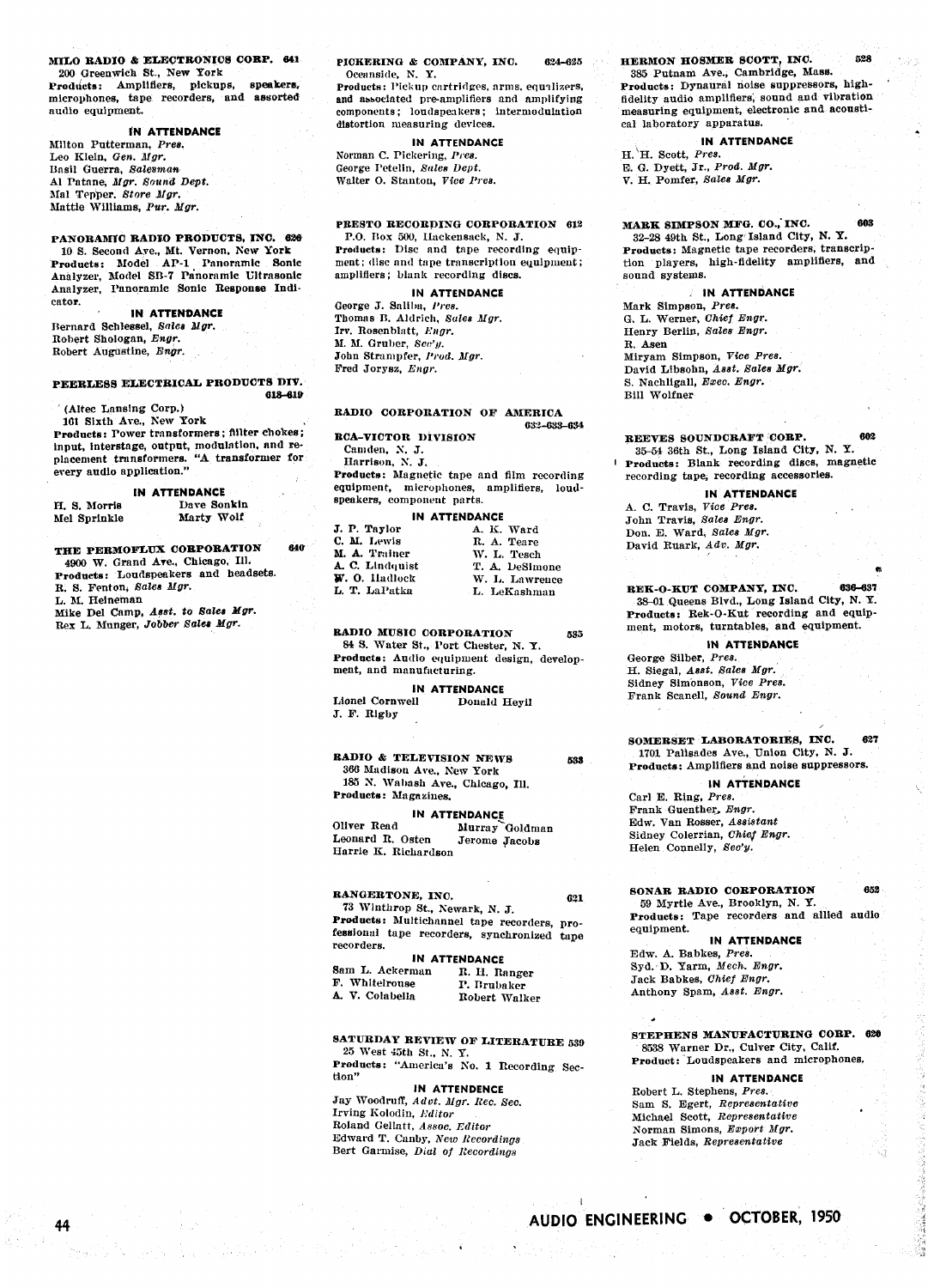#### MILO RADIO & ELECTRONICS CORP. 641 200 Greenwich St., New York

speakers Products: Amplifiers, pickups, microphones, tape recorders, and assorted audio equipment.

#### IN ATTENDANCE

Milton Putterman, Pres. Leo Klein, Gen. Mgr. Basil Guerra, Salesman Al Patane, Mgr. Sound Dept. Mal Tepper, Store Mgr. Mattie Williams, Pur. Mgr.

PANORAMIC RADIO PRODUCTS. INC. 626 10 S. Second Ave., Mt. Vernon, New York<br>Products: Model AP-1 Panoramic Sonic Analyzer, Model SB-7 Panoramic Ultrasonic Analyzer, Panoramic Sonic Response Indicator.

**IN ATTENDANCE** 

Bernard Schlessel, Sales Mgr. Robert Shologan, Engr. Robert Augustine, Engr.

#### PEERLESS ELECTRICAL PRODUCTS DIV. 618-619

(Altec Lansing Corp.)

44

101 Sixth Ave., New York Products: Power transformers; filter chokes; input, interstage, output, modulation, and replacement transformers. "A transformer for<br>every audio application."

#### IN ATTENDANCE

| H. S. Morris | Dave Sonkin |
|--------------|-------------|
| Mel Sprinkle | Marty Wolf  |

THE PERMOFLUX CORPORATION 640 4900 W. Grand Ave., Chicago, Ill. Products: Loudspeakers and headsets. R. S. Fenton, Sales Mgr. L. M. Heineman Mike Del Camp, Asst. to Sales Mgr.<br>Rex L. Munger, Jobber Sales Mgr.

Products: Pickup cartridges, arms, equalizers, and associated pre-amplifiers and amplifying components; loudspeakers; intermodulation distortion measuring devices.

IN ATTENDANCE

Norman C. Pickering, Pres. George Petelin, Sales Dept. Walter O. Stanton, Vice Pres.

#### PRESTO RECORDING CORPORATION 612

P.O. Box 500, Hackensack, N. J. Products: Disc and tape recording equipment; disc and tape transcription equipment; amplifiers; blank recording discs.

#### IN ATTENDANCE

George J. Saliba, Pres. Thomas B. Aldrich, Sales Mgr. Irv. Rosenblatt, Engr. M. M. Gruber, Sec'y. John Strampfer, Prod. Mgr. Fred Jorysz, Engr.

### RADIO CORPORATION OF AMERICA

**RCA-VICTOR DIVISION** 

Camden, N. J. Harrison, N. J. Products: Magnetic tape and film recording equipment, microphones, amplifiers, loud-

#### $\mathbf{a}$

| J. P. Taylor    | A. K. Ward     |
|-----------------|----------------|
| C. M. Lewis     | R. A. Teare    |
| M. A. Trainer   | W. L. Tesch    |
| A. C. Lindquist | T. A. DeSimone |
| W. O. Hadlock   | W. L. Lawrence |
| L. T. LaPatka   | L. LeKashman   |

#### RADIO MUSIC CORPORATION **825**

84 S. Water St., Port Chester, N. Y. Products: Audio equipment design, development, and manufacturing.

#### **IN ATTENDANCE**

Lionel Cornwell Donald Hevil J. F. Rigby

#### **RADIO & TELEVISION NEWS** 533 366 Madison Ave., New York 185 N. Wabash Ave., Chicago, Ill. Products: Magazines.

IN ATTENDANCE

Oliver Read Murray Goldman Leonard R. Osten Jerome Jacobs Harrie K. Richardson

#### RANGERTONE, INC.

621 73 Winthrop St., Newark, N. J. Products: Multichannel tape recorders, professional tape recorders, synchronized tape recorders.

#### IN ATTENDANCE

Sam L. Ackerman R. H. Ranger F. Whitelrouse P. Brubaker A. V. Colabella Robert Walker

#### SATURDAY REVIEW OF LITERATURE 539 25 West 45th St., N. Y.

Products: "America's No. 1 Recording Section"

#### **IN ATTENDENCE** Jay Woodruff, Advt. Mgr. Rec. Sec. Irving Kolodin, Editor Roland Gellatt, Assoc. Editor Edward T. Canby, New Recordings Bert Garmise, Dial of Recordings

#### HERMON HOSMER SCOTT, INC.

385 Putnam Ave., Cambridge, Mass. Products: Dynaural noise suppressors, highfidelity audio amplifiers, sound and vibration measuring equipment, electronic and acoustical laboratory apparatus.

#### IN ATTENDANCE

 $H.$  H. Scott, Pres. E. G. Dyett, Jr., Prod. Mgr. V. H. Pomfer, Sales Mgr.

MARK SIMPSON MFG. CO., INC. 608 32-28 49th St., Long Island City, N. Y. Products: Magnetic tape recorders, transcription players, high-fidelity amplifiers, and sound systems.

#### **IN ATTENDANCE**

Mark Simpson, Pres. G. L. Werner, Chief Engr. Henry Berlin, Sales Engr. R. Asen Miryam Simpson, Vice Pres. David Libsohn, Asst. Sales Mgr. S. Nachligall, Exec. Engr. **Bill Wolfner** 

REEVES SOUNDCRAFT CORP. 602 35-54 36th St., Long Island City, N. Y. Products: Blank recording discs, magnetic recording tape, recording accessories.

#### **IN ATTENDANCE**

A. C. Travis, Vice Pres. John Travis, Sales Engr. Don. E. Ward, Sales Mgr. David Ruark, Adv. Mgr.

REK-O-KUT COMPANY, INC. 836-837 38-01 Queens Blvd., Long Island City, N. Y. Products: Rek-O-Kut recording and equipment, motors, turntables, and equipment.

#### IN ATTENDANCE

George Silber, Pres. H. Siegal, Asst. Sales Mgr. Sidney Simonson, Vice Pres. Frank Scanell, Sound Engr.

SOMERSET LABORATORIES, INC. 1701 Palisades Ave., Union City, N. J. Products: Amplifiers and noise suppressors.

#### IN ATTENDANCE

Carl E. Ring, Pres. Frank Guenther, Engr. Edw. Van Rosser, Assistant Sidney Colerrian, Chief Engr. Helen Connelly, Sec'y.

SONAR RADIO CORPORATION 59 Myrtle Ave., Brooklyn, N.Y. Products: Tape recorders and allied audio equipment.

## **IN ATTENDANCE**

Edw. A. Babkes, Pres. Syd. D. Yarm, Mech. Engr. Jack Babkes, Chief Engr. Anthony Spam, Asst. Engr.

#### STEPHENS MANUFACTURING CORP. 626 8538 Warner Dr., Culver City, Calif. Product: Loudspeakers and microphones,

#### IN ATTENDANCE

Robert L. Stephens, Pres. Sam S. Egert, Representative Michael Scott, Representative Norman Simons, Export Mgr. Jack Fields, Representative

# AUDIO ENGINEERING . OCTOBER, 1950

 $\cdot$ <sub>1</sub>

528

632-633-634

speakers, component parts.

| IN ALIENVANJE |                |  |
|---------------|----------------|--|
| . P. Taylor   | A. K. Ward     |  |
| . M. Lewis    | R. A. Teare    |  |
| I. A. Trainer | W. L. Tesch    |  |
| C. Lindauist  | T. A. DeSimone |  |
| V. O. Hadlock | W. L. Lawrenc  |  |
| . T. LaPatka  | L. LeKashman   |  |
|               |                |  |